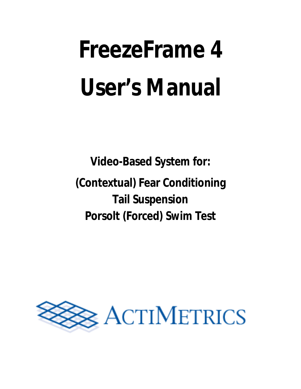# **FreezeFrame 4 User's Manual**

**Video-Based System for: (Contextual) Fear Conditioning Tail Suspension Porsolt (Forced) Swim Test**

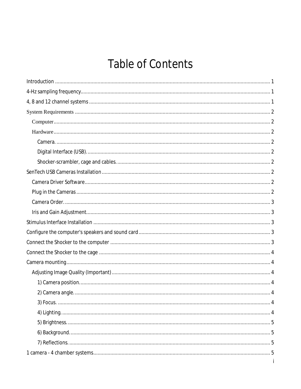# **Table of Contents**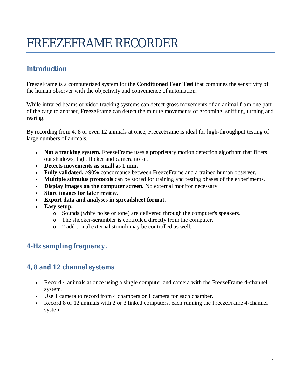# FREEZEFRAME RECORDER

# **Introduction**

FreezeFrame is a computerized system for the **Conditioned Fear Test** that combines the sensitivity of the human observer with the objectivity and convenience of automation.

While infrared beams or video tracking systems can detect gross movements of an animal from one part of the cage to another, FreezeFrame can detect the minute movements of grooming, sniffing, turning and rearing.

By recording from 4, 8 or even 12 animals at once, FreezeFrame is ideal for high-throughput testing of large numbers of animals.

- Not a tracking system. FreezeFrame uses a proprietary motion detection algorithm that filters out shadows, light flicker and camera noise.
- **Detects movements as small as 1 mm.**
- **Fully validated.** >90% concordance between FreezeFrame and a trained human observer.
- **Multiple stimulus protocols** can be stored for training and testing phases of the experiments.
- **Display images on the computer screen.** No external monitor necessary.
- **Store images for later review.**
- **Export data and analyses in spreadsheet format.**
- **Easy setup.**
	- o Sounds (white noise or tone) are delivered through the computer's speakers.
	- o The shocker-scrambler is controlled directly from the computer.
	- o 2 additional external stimuli may be controlled as well.

# **4-Hz sampling frequency.**

### **4, 8 and 12 channel systems**

- Record 4 animals at once using a single computer and camera with the FreezeFrame 4-channel system.
- Use 1 camera to record from 4 chambers or 1 camera for each chamber.
- Record 8 or 12 animals with 2 or 3 linked computers, each running the FreezeFrame 4-channel system.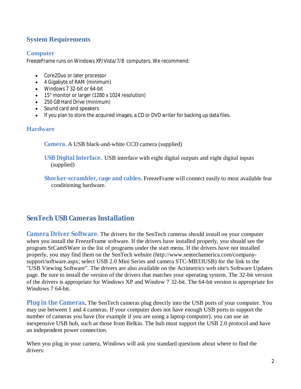# **System Requirements**

### **Computer**

FreezeFrame runs on Windows XP/Vista/7/8 computers. We recommend:

- Core2Duo or later processor
- 4 Gigabyte of RAM (minimum)
- Windows 7 32-bit or 64-bit
- 15" monitor or larger (1280 x 1024 resolution)
- 250 GB Hard Drive (minimum)
- Sound card and speakers
- If you plan to store the acquired images, a CD or DVD writer for backing up data files.

### **Hardware**

**Camera.** A USB black-and-white CCD camera (supplied)

**USB Digital Interface.** USB interface with eight digital outputs and eight digital inputs (supplied)

**Shocker-scrambler, cage and cables.** FreezeFrame will connect easily to most available fear conditioning hardware.

# **SenTech USB Cameras Installation**

**Camera Driver Software**. The drivers for the SenTech cameras should install on your computer when you install the FreezeFrame software. If the drivers have installed properly, you should see the program StCamSWare in the list of programs under the start menu. If the drivers have not installed properly, you may find them on the SenTech website (http://www.sentechamerica.com/companysupport/software.aspx; select USB 2.0 Mini Series and camera STC-MB33USB) for the link to the "USB Viewing Software". The drivers are also available on the Actimetrics web site's Software Updates page. Be sure to install the version of the drivers that matches your operating system. The 32-bit version of the drivers is appropriate for Windows XP and Window 7 32-bit. The 64-bit version is appropriate for Windows 7 64-bit.

**Plug in the Cameras.** The SenTech cameras plug directly into the USB ports of your computer. You may use between 1 and 4 cameras. If your computer does not have enough USB ports to support the number of cameras you have (for example if you are using a laptop computer), you can use an inexpensive USB hub, such as those from Belkin. The hub must support the USB 2.0 protocol and have an independent power connection.

When you plug in your camera, Windows will ask you standard questions about where to find the drivers: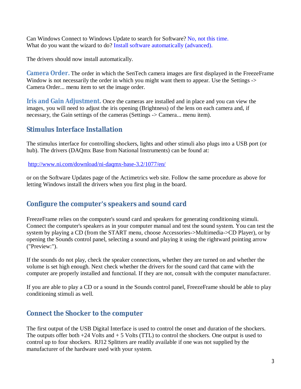Can Windows Connect to Windows Update to search for Software? No, not this time. What do you want the wizard to do? Install software automatically (advanced).

The drivers should now install automatically.

**Camera Order.** The order in which the SenTech camera images are first displayed in the FreezeFrame Window is not necessarily the order in which you might want them to appear. Use the Settings -> Camera Order... menu item to set the image order.

**Iris and Gain Adjustment.** Once the cameras are installed and in place and you can view the images, you will need to adjust the iris opening (Brightness) of the lens on each camera and, if necessary, the Gain settings of the cameras (Settings -> Camera... menu item).

### **Stimulus Interface Installation**

The stimulus interface for controlling shockers, lights and other stimuli also plugs into a USB port (or hub). The drivers (DAQmx Base from National Instruments) can be found at:

http://www.ni.com/download/ni-daqmx-base-3.2/1077/en/

or on the Software Updates page of the Actimetrics web site. Follow the same procedure as above for letting Windows install the drivers when you first plug in the board.

# **Configure the computer's speakers and sound card**

FreezeFrame relies on the computer's sound card and speakers for generating conditioning stimuli. Connect the computer's speakers as in your computer manual and test the sound system. You can test the system by playing a CD (from the START menu, choose Accessories->Multimedia->CD Player), or by opening the Sounds control panel, selecting a sound and playing it using the rightward pointing arrow ("Preview:").

If the sounds do not play, check the speaker connections, whether they are turned on and whether the volume is set high enough. Next check whether the drivers for the sound card that came with the computer are properly installed and functional. If they are not, consult with the computer manufacturer.

If you are able to play a CD or a sound in the Sounds control panel, FreezeFrame should be able to play conditioning stimuli as well.

# **Connect the Shocker to the computer**

The first output of the USB Digital Interface is used to control the onset and duration of the shockers. The outputs offer both  $+24$  Volts and  $+5$  Volts (TTL) to control the shockers. One output is used to control up to four shockers. RJ12 Splitters are readily available if one was not supplied by the manufacturer of the hardware used with your system.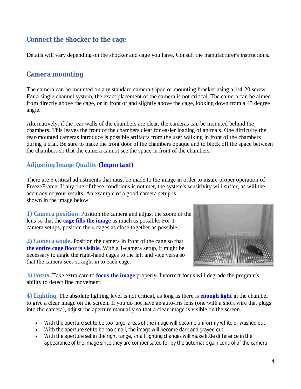# **Connect the Shocker to the cage**

Details will vary depending on the shocker and cage you have. Consult the manufacturer's instructions.

### **Camera mounting**

The camera can be mounted on any standard camera tripod or mounting bracket using a 1/4-20 screw. For a single channel system, the exact placement of the camera is not critical. The camera can be aimed from directly above the cage, or in front of and slightly above the cage, looking down from a 45 degree angle.

Alternatively, if the rear walls of the chambers are clear, the cameras can be mounted behind the chambers. This leaves the front of the chambers clear for easier loading of animals. One difficulty the rear-mounted cameras introduce is possible artifacts from the user walking in front of the chambers during a trial. Be sure to make the front door of the chambers opaque and to block off the space between the chambers so that the camera cannot see the space in front of the chambers.

### **Adjusting Image Quality (Important)**

There are 5 critical adjustments that must be made to the image in order to insure proper operation of FreezeFrame. If any one of these conditions is not met, the system's sensitivity will suffer, as will the accuracy of your results. An example of a good camera setup is shown in the image below.

**1) Camera position.** Position the camera and adjust the zoom of the lens so that the **cage fills the image** as much as possible**.** For 1 camera setups, position the 4 cages as close together as possible.

**2) Camera angle.** Position the camera in front of the cage so that **the entire cage floor is visible**. With a 1-camera setup, it might be necessary to angle the right-hand cages to the left and vice versa so that the camera sees straight in to each cage.



**3) Focus.** Take extra care to **focus the image** properly**.** Incorrect focus will degrade the program's ability to detect fine movement.

**4) Lighting.** The absolute lighting level is not critical, as long as there is **enough light** in the chamber to give a clear image on the screen. If you do not have an auto-iris lens (one with a short wire that plugs into the camera), adjust the aperture manually so that a clear image is visible on the screen.

- With the aperture set to be too large, areas of the image will become uniformly white or washed out.
- With the aperture set to be too small, the image will become dark and grayed out.
- With the aperture set in the right range, small lighting changes will make little difference in the appearance of the image since they are compensated for by the automatic gain control of the camera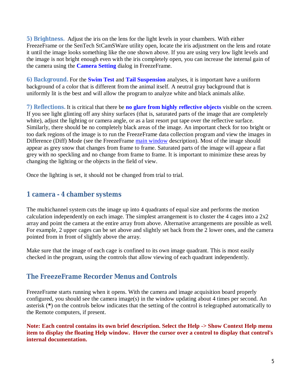**5) Brightness.** Adjust the iris on the lens for the light levels in your chambers. With either FreezeFrame or the SenTech StCamSWare utility open, locate the iris adjustment on the lens and rotate it until the image looks something like the one shown above. If you are using very low light levels and the image is not bright enough even with the iris completely open, you can increase the internal gain of the camera using the **Camera Setting** dialog in FreezeFrame.

**6) Background.** For the **Swim Test** and **Tail Suspension** analyses, it is important have a uniform background of a color that is different from the animal itself. A neutral gray background that is uniformly lit is the best and will allow the program to analyze white and black animals alike.

**7) Reflections.** It is critical that there be **no glare from highly reflective objects** visible on the screen. If you see light glinting off any shiny surfaces (that is, saturated parts of the image that are completely white), adjust the lighting or camera angle, or as a last resort put tape over the reflective surface. Similarly, there should be no completely black areas of the image. An important check for too bright or too dark regions of the image is to run the FreezeFrame data collection program and view the images in Difference (Diff) Mode (see the FreezeFrame main window description). Most of the image should appear as grey snow that changes from frame to frame. Saturated parts of the image will appear a flat grey with no speckling and no change from frame to frame. It is important to minimize these areas by changing the lighting or the objects in the field of view.

Once the lighting is set, it should not be changed from trial to trial.

### **1 camera - 4 chamber systems**

The multichannel system cuts the image up into 4 quadrants of equal size and performs the motion calculation independently on each image. The simplest arrangement is to cluster the 4 cages into a 2x2 array and point the camera at the entire array from above. Alternative arrangements are possible as well. For example, 2 upper cages can be set above and slightly set back from the 2 lower ones, and the camera pointed from in front of slightly above the array.

Make sure that the image of each cage is confined to its own image quadrant. This is most easily checked in the program, using the controls that allow viewing of each quadrant independently.

### **The FreezeFrame Recorder Menus and Controls**

FreezeFrame starts running when it opens. With the camera and image acquisition board properly configured, you should see the camera image(s) in the window updating about 4 times per second. An asterisk (**\***) on the controls below indicates that the setting of the control is telegraphed automatically to the Remote computers, if present.

**Note: Each control contains its own brief description. Select the Help -> Show Context Help menu item to display the floating Help window. Hover the cursor over a control to display that control's internal documentation.**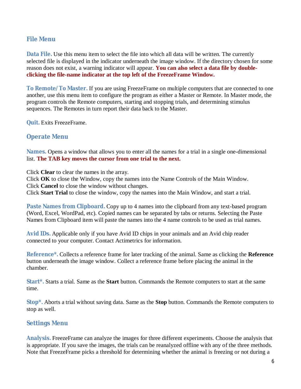### **File Menu**

**Data File.** Use this menu item to select the file into which all data will be written. The currently selected file is displayed in the indicator underneath the image window. If the directory chosen for some reason does not exist, a warning indicator will appear. **You can also select a data file by doubleclicking the file-name indicator at the top left of the FreezeFrame Window.**

**To Remote/To Master.** If you are using FreezeFrame on multiple computers that are connected to one another, use this menu item to configure the program as either a Master or Remote. In Master mode, the program controls the Remote computers, starting and stopping trials, and determining stimulus sequences. The Remotes in turn report their data back to the Master.

**Quit.** Exits FreezeFrame.

### **Operate Menu**

**Names.** Opens a window that allows you to enter all the names for a trial in a single one-dimensional list. **The TAB key moves the cursor from one trial to the next.**

Click **Clear** to clear the names in the array.

Click **OK** to close the Window, copy the names into the Name Controls of the Main Window. Click **Cancel** to close the window without changes.

Click **Start Trial** to close the window, copy the names into the Main Window, and start a trial.

**Paste Names from Clipboard.** Copy up to 4 names into the clipboard from any text-based program (Word, Excel, WordPad, etc). Copied names can be separated by tabs or returns. Selecting the Paste Names from Clipboard item will paste the names into the 4 name controls to be used as trial names.

**Avid IDs.** Applicable only if you have Avid ID chips in your animals and an Avid chip reader connected to your computer. Contact Actimetrics for information.

**Reference\*.** Collects a reference frame for later tracking of the animal. Same as clicking the **Reference** button underneath the image window. Collect a reference frame before placing the animal in the chamber.

**Start\*.** Starts a trial. Same as the **Start** button. Commands the Remote computers to start at the same time.

**Stop\*.** Aborts a trial without saving data. Same as the **Stop** button. Commands the Remote computers to stop as well.

### **Settings Menu**

**Analysis.** FreezeFrame can analyze the images for three different experiments. Choose the analysis that is appropriate. If you save the images, the trials can be reanalyzed offline with any of the three methods. Note that FreezeFrame picks a threshold for determining whether the animal is freezing or not during a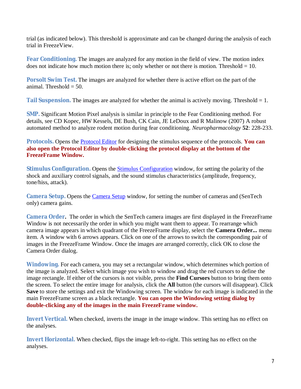trial (as indicated below). This threshold is approximate and can be changed during the analysis of each trial in FreezeView.

**Fear Conditioning.** The images are analyzed for any motion in the field of view. The motion index does not indicate how much motion there is; only whether or not there is motion. Threshold  $= 10$ .

**Porsolt Swim Test.** The images are analyzed for whether there is active effort on the part of the animal. Threshold  $= 50$ .

**Tail Suspension.** The images are analyzed for whether the animal is actively moving. Threshold = 1.

**SMP.** Significant Motion Pixel analysis is similar in principle to the Fear Conditioning method. For details, see CD Kopec, HW Kessels, DE Bush, CK Cain, JE LeDoux and R Malinow (2007) A robust automated method to analyze rodent motion during fear conditioning. *Neuropharmacology* **52**: 228-233.

**Protocols.** Opens the Protocol Editor for designing the stimulus sequence of the protocols. **You can also open the Protocol Editor by double-clicking the protocol display at the bottom of the FreezeFrame Window.** 

**Stimulus Configuration.** Opens the Stimulus Configuration window, for setting the polarity of the shock and auxiliary control signals, and the sound stimulus characteristics (amplitude, frequency, tone/hiss, attack).

**Camera Setup.** Opens the Camera Setup window, for setting the number of cameras and (SenTech only) camera gains.

**Camera Order.** The order in which the SenTech camera images are first displayed in the FreezeFrame Window is not necessarily the order in which you might want them to appear. To rearrange which camera image appears in which quadrant of the FreezeFrame display, select the **Camera Order...** menu item. A window with 6 arrows appears. Click on one of the arrows to switch the corresponding pair of images in the FreezeFrame Window. Once the images are arranged correctly, click OK to close the Camera Order dialog.

**Windowing.** For each camera, you may set a rectangular window, which determines which portion of the image is analyzed. Select which image you wish to window and drag the red cursors to define the image rectangle. If either of the cursors is not visible, press the **Find Cursors** button to bring them onto the screen. To select the entire image for analysis, click the **All** button (the cursors will disappear). Click **Save** to store the settings and exit the Windowing screen. The window for each image is indicated in the main FreezeFrame screen as a black rectangle. **You can open the Windowing setting dialog by double-clicking any of the images in the main FreezeFrame window.**

**Invert Vertical.** When checked, inverts the image in the image window. This setting has no effect on the analyses.

**Invert Horizontal.** When checked, flips the image left-to-right. This setting has no effect on the analyses.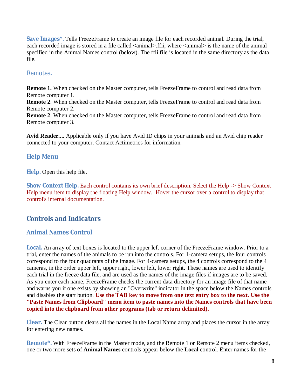**Save Images\*.** Tells FreezeFrame to create an image file for each recorded animal. During the trial, each recorded image is stored in a file called <animal>.ffii, where <animal> is the name of the animal specified in the Animal Names control (below). The ffii file is located in the same directory as the data file.

### Remotes**.**

**Remote 1.** When checked on the Master computer, tells FreezeFrame to control and read data from Remote computer 1.

**Remote 2**. When checked on the Master computer, tells FreezeFrame to control and read data from Remote computer 2.

**Remote 2**. When checked on the Master computer, tells FreezeFrame to control and read data from Remote computer 3.

**Avid Reader....** Applicable only if you have Avid ID chips in your animals and an Avid chip reader connected to your computer. Contact Actimetrics for information.

### **Help Menu**

**Help.** Open this help file.

**Show Context Help.** Each control contains its own brief description. Select the Help -> Show Context Help menu item to display the floating Help window. Hover the cursor over a control to display that control's internal documentation.

# **Controls and Indicators**

### **Animal Names Control**

**Local.** An array of text boxes is located to the upper left corner of the FreezeFrame window. Prior to a trial, enter the names of the animals to be run into the controls. For 1-camera setups, the four controls correspond to the four quadrants of the image. For 4-camera setups, the 4 controls correspond to the 4 cameras, in the order upper left, upper right, lower left, lower right. These names are used to identify each trial in the freeze data file, and are used as the names of the image files if images are to be saved. As you enter each name, FreezeFrame checks the current data directory for an image file of that name and warns you if one exists by showing an "Overwrite" indicator in the space below the Names controls and disables the start button. **Use the TAB key to move from one text entry box to the next. Use the "Paste Names from Clipboard" menu item to paste names into the Names controls that have been copied into the clipboard from other programs (tab or return delimited).**

**Clear.** The Clear button clears all the names in the Local Name array and places the cursor in the array for entering new names.

**Remote\*.** With FreezeFrame in the Master mode, and the Remote 1 or Remote 2 menu items checked, one or two more sets of **Animal Names** controls appear below the **Local** control. Enter names for the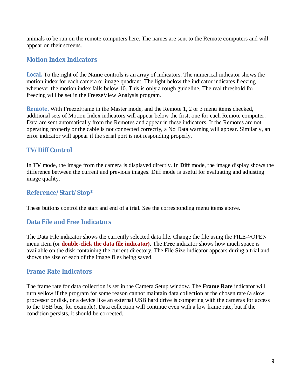animals to be run on the remote computers here. The names are sent to the Remote computers and will appear on their screens.

### **Motion Index Indicators**

**Local.** To the right of the **Name** controls is an array of indicators. The numerical indicator shows the motion index for each camera or image quadrant. The light below the indicator indicates freezing whenever the motion index falls below 10. This is only a rough guideline. The real threshold for freezing will be set in the FreezeView Analysis program.

**Remote.** With FreezeFrame in the Master mode, and the Remote 1, 2 or 3 menu items checked, additional sets of Motion Index indicators will appear below the first, one for each Remote computer. Data are sent automatically from the Remotes and appear in these indicators. If the Remotes are not operating properly or the cable is not connected correctly, a No Data warning will appear. Similarly, an error indicator will appear if the serial port is not responding properly.

### **TV/Diff Control**

In **TV** mode, the image from the camera is displayed directly. In **Diff** mode, the image display shows the difference between the current and previous images. Diff mode is useful for evaluating and adjusting image quality.

### **Reference/Start/Stop\***

These buttons control the start and end of a trial. See the corresponding menu items above.

### **Data File and Free Indicators**

The Data File indicator shows the currently selected data file. Change the file using the FILE->OPEN menu item (or **double-click the data file indicator)**. The **Free** indicator shows how much space is available on the disk containing the current directory. The File Size indicator appears during a trial and shows the size of each of the image files being saved.

### **Frame Rate Indicators**

The frame rate for data collection is set in the Camera Setup window. The **Frame Rate** indicator will turn yellow if the program for some reason cannot maintain data collection at the chosen rate (a slow processor or disk, or a device like an external USB hard drive is competing with the cameras for access to the USB bus, for example). Data collection will continue even with a low frame rate, but if the condition persists, it should be corrected.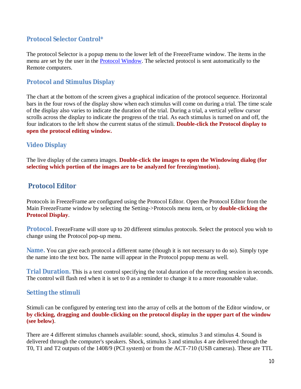### **Protocol Selector Control\***

The protocol Selector is a popup menu to the lower left of the FreezeFrame window. The items in the menu are set by the user in the Protocol Window. The selected protocol is sent automatically to the Remote computers.

### **Protocol and Stimulus Display**

The chart at the bottom of the screen gives a graphical indication of the protocol sequence. Horizontal bars in the four rows of the display show when each stimulus will come on during a trial. The time scale of the display also varies to indicate the duration of the trial. During a trial, a vertical yellow cursor scrolls across the display to indicate the progress of the trial. As each stimulus is turned on and off, the four indicators to the left show the current status of the stimuli. **Double-click the Protocol display to open the protocol editing window.** 

### **Video Display**

The live display of the camera images. **Double-click the images to open the Windowing dialog (for selecting which portion of the images are to be analyzed for freezing/motion).** 

# **Protocol Editor**

Protocols in FreezeFrame are configured using the Protocol Editor. Open the Protocol Editor from the Main FreezeFrame window by selecting the Setting->Protocols menu item, or by **double-clicking the Protocol Display**.

**Protocol.** FreezeFrame will store up to 20 different stimulus protocols. Select the protocol you wish to change using the Protocol pop-up menu.

**Name.** You can give each protocol a different name (though it is not necessary to do so). Simply type the name into the text box. The name will appear in the Protocol popup menu as well.

**Trial Duration.** This is a text control specifying the total duration of the recording session in seconds. The control will flash red when it is set to 0 as a reminder to change it to a more reasonable value.

### **Setting the stimuli**

Stimuli can be configured by entering text into the array of cells at the bottom of the Editor window, or **by clicking, dragging and double-clicking on the protocol display in the upper part of the window (see below)**.

There are 4 different stimulus channels available: sound, shock, stimulus 3 and stimulus 4. Sound is delivered through the computer's speakers. Shock, stimulus 3 and stimulus 4 are delivered through the T0, T1 and T2 outputs of the 1408/9 (PCI system) or from the ACT-710 (USB cameras). These are TTL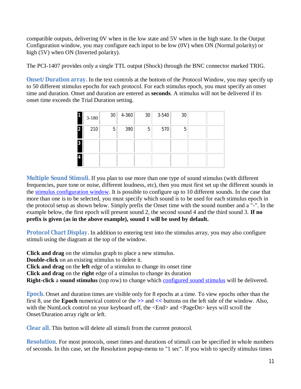compatible outputs, delivering 0V when in the low state and 5V when in the high state. In the Output Configuration window, you may configure each input to be low (0V) when ON (Normal polarity) or high (5V) when ON (Inverted polarity).

The PCI-1407 provides only a single TTL output (Shock) through the BNC connector marked TRIG.

**Onset/Duration array.** In the text controls at the bottom of the Protocol Window, you may specify up to 50 different stimulus epochs for each protocol. For each stimulus epoch, you must specify an onset time and duration. Onset and duration are entered as **seconds**. A stimulus will not be delivered if its onset time exceeds the Trial Duration setting.

|    | $3 - 180$ | 30 | $4 - 360$ | 30 | 3-540 | 30 |  |
|----|-----------|----|-----------|----|-------|----|--|
| 2  | 210       | 5  | 390       | 5  | 570   | 5  |  |
| 3  |           |    |           |    |       |    |  |
| 14 |           |    |           |    |       |    |  |

**Multiple Sound Stimuli.** If you plan to use more than one type of sound stimulus (with different frequencies, pure tone or noise, different loudness, etc), then you must first set up the different sounds in the stimulus configuration window. It is possible to configure up to 10 different sounds. In the case that more than one is to be selected, you must specify which sound is to be used for each stimulus epoch in the protocol setup as shown below. Simply prefix the Onset time with the sound number and a "-". In the example below, the first epoch will present sound 2, the second sound 4 and the third sound 3. **If no prefix is given (as in the above example), sound 1 will be used by default.**

**Protocol Chart Display.** In addition to entering text into the stimulus array, you may also configure stimuli using the diagram at the top of the window.

**Click and drag** on the stimulus graph to place a new stimulus.

**Double-click** on an existing stimulus to delete it.

**Click and drag** on the **left** edge of a stimulus to change its onset time

**Click and drag** on the **right** edge of a stimulus to change its duration

**Right-click** a **sound stimulus** (top row) to change which configured sound stimulus will be delivered.

**Epoch.** Onset and duration times are visible only for 8 epochs at a time. To view epochs other than the first 8, use the **Epoch** numerical control or the **>>** and **<<** buttons on the left side of the window. Also, with the NumLock control on your keyboard off, the <End> and <PageDn> keys will scroll the Onset/Duration array right or left.

**Clear all.** This button will delete all stimuli from the current protocol.

**Resolution**. For most protocols, onset times and durations of stimuli can be specified in whole numbers of seconds. In this case, set the Resolution popup-menu to "1 sec". If you wish to specify stimulus times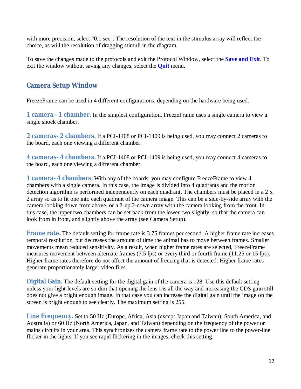with more precision, select "0.1 sec". The resolution of the text in the stimulus array will reflect the choice, as will the resolution of dragging stimuli in the diagram.

To save the changes made to the protocols and exit the Protocol Window, select the **Save and Exit**. To exit the window without saving any changes, select the **Quit** menu.

# **Camera Setup Window**

FreezeFrame can be used in 4 different configurations, depending on the hardware being used.

**1 camera - 1 chamber.** In the simplest configuration, FreezeFrame uses a single camera to view a single shock chamber.

**2 cameras- 2 chambers.** If a PCI-1408 or PCI-1409 is being used, you may connect 2 cameras to the board, each one viewing a different chamber.

**4 cameras- 4 chambers.** If a PCI-1408 or PCI-1409 is being used, you may connect 4 cameras to the board, each one viewing a different chamber.

**1 camera- 4 chambers.** With any of the boards, you may configure FreezeFrame to view 4 chambers with a single camera. In this case, the image is divided into 4 quadrants and the motion detection algorithm is performed independently on each quadrant. The chambers must be placed in a 2 x 2 array so as to fit one into each quadrant of the camera image. This can be a side-by-side array with the camera looking down from above, or a 2-up 2-down array with the camera looking from the front. In this case, the upper two chambers can be set back from the lower two slightly, so that the camera can look from in front, and slightly above the array (see Camera Setup).

**Frame rate.** The default setting for frame rate is 3.75 frames per second. A higher frame rate increases temporal resolution, but decreases the amount of time the animal has to move between frames. Smaller movements mean reduced sensitivity. As a result, when higher frame rates are selected, FreezeFrame measures movement between alternate frames (7.5 fps) or every third or fourth frame (11.25 or 15 fps). Higher frame rates therefore do not affect the amount of freezing that is detected. Higher frame rates generate proportionately larger video files.

**Digital Gain.** The default setting for the digital gain of the camera is 128. Use this default setting unless your light levels are so dim that opening the lens iris all the way and increasing the CDS gain still does not give a bright enough image. In that case you can increase the digital gain until the image on the screen is bright enough to see clearly. The maximum setting is 255.

**Line Frequency.** Set to 50 Hz (Europe, Africa, Asia (except Japan and Taiwan), South America, and Australia) or 60 Hz (North America, Japan, and Taiwan) depending on the frequency of the power or mains circuits in your area. This synchronizes the camera frame rate to the power line to the power-line flicker in the lights. If you see rapid flickering in the images, check this setting.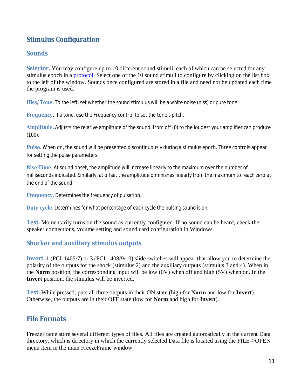# **Stimulus Configuration**

### **Sounds**

**Selector.** You may configure up to 10 different sound stimuli, each of which can be selected for any stimulus epoch in a protocol. Select one of the 10 sound stimuli to configure by clicking on the list box to the left of the window. Sounds once configured are stored in a file and need not be updated each time the program is used.

**Hiss/Tone.** To the left, set whether the sound stimulus will be a white noise (hiss) or pure tone.

**Frequency**. If a tone, use the Frequency control to set the tone's pitch.

**Amplitude.** Adjusts the relative amplitude of the sound, from off (0) to the loudest your amplifier can produce  $(100)$ .

**Pulse**. When on, the sound will be presented discontinuously during a stimulus epoch. Three controls appear for setting the pulse parameters:

**Rise Time**. At sound onset, the amplitude will increase linearly to the maximum over the number of milliseconds indicated. Similarly, at offset the amplitude diminishes linearly from the maximum to reach zero at the end of the sound.

**Frequency.** Determines the frequency of pulsation.

**Duty cycle.** Determines for what percentage of each cycle the pulsing sound is on.

**Test.** Momentarily turns on the sound as currently configured. If no sound can be heard, check the speaker connections, volume setting and sound card configuration in Windows.

### **Shocker and auxiliary stimulus outputs**

**Invert.** 1 (PCI-1405/7) or 3 (PCI-1408/9/10) slide switches will appear that allow you to determine the polarity of the outputs for the shock (stimulus 2) and the auxiliary outputs (stimulus 3 and 4). When in the **Norm** position, the corresponding input will be low (0V) when off and high (5V) when on. In the **Invert** position, the stimulus will be inverted.

**Test.** While pressed, puts all three outputs in their ON state (high for **Norm** and low for **Invert**). Otherwise, the outputs are in their OFF state (low for **Norm** and high for **Invert**).

# **File Formats**

FreezeFrame store several different types of files. All files are created automatically in the current Data directory, which is directory in which the currently selected Data file is located using the FILE->OPEN menu item in the main FreezeFrame window.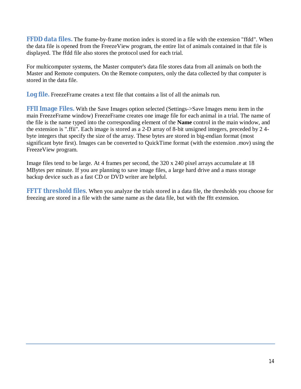**FFDD data files.** The frame-by-frame motion index is stored in a file with the extension "ffdd". When the data file is opened from the FreezeView program, the entire list of animals contained in that file is displayed. The ffdd file also stores the protocol used for each trial.

For multicomputer systems, the Master computer's data file stores data from all animals on both the Master and Remote computers. On the Remote computers, only the data collected by that computer is stored in the data file.

**Log file.** FreezeFrame creates a text file that contains a list of all the animals run.

**FFII Image Files.** With the Save Images option selected (Settings->Save Images menu item in the main FreezeFrame window) FreezeFrame creates one image file for each animal in a trial. The name of the file is the name typed into the corresponding element of the **Name** control in the main window, and the extension is ".ffii". Each image is stored as a 2-D array of 8-bit unsigned integers, preceded by 2 4 byte integers that specify the size of the array. These bytes are stored in big-endian format (most significant byte first). Images can be converted to QuickTime format (with the extension .mov) using the FreezeView program.

Image files tend to be large. At 4 frames per second, the 320 x 240 pixel arrays accumulate at 18 MBytes per minute. If you are planning to save image files, a large hard drive and a mass storage backup device such as a fast CD or DVD writer are helpful.

**FFTT threshold files**. When you analyze the trials stored in a data file, the thresholds you choose for freezing are stored in a file with the same name as the data file, but with the fftt extension.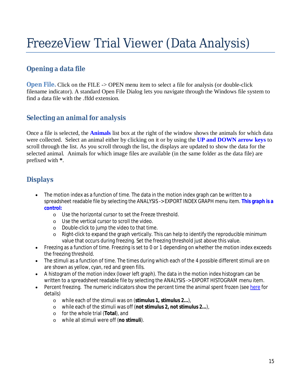# FreezeView Trial Viewer (Data Analysis)

# **Opening a data file**

**Open File.** Click on the FILE -> OPEN menu item to select a file for analysis (or double-click filename indicator). A standard Open File Dialog lets you navigate through the Windows file system to find a data file with the ffdd extension.

# **Selecting an animal for analysis**

Once a file is selected, the **Animals** list box at the right of the window shows the animals for which data were collected. Select an animal either by clicking on it or by using the **UP and DOWN arrow keys** to scroll through the list. As you scroll through the list, the displays are updated to show the data for the selected animal. Animals for which image files are available (in the same folder as the data file) are prefixed with **\***.

# **Displays**

- The motion index as a function of time. The data in the motion index graph can be written to a spreadsheet readable file by selecting the ANALYSIS -> EXPORT INDEX GRAPH menu item. **This graph is a control:**
	- o Use the horizontal cursor to set the Freeze threshold.
	- o Use the vertical cursor to scroll the video.
	- o Double-click to jump the video to that time.
	- $\circ$  Right-click to expand the graph vertically. This can help to identify the reproducible minimum value that occurs during freezing. Set the freezing threshold just above this value.
- Freezing as a function of time. Freezing is set to 0 or 1 depending on whether the motion index exceeds the freezing threshold.
- The stimuli as a function of time. The times during which each of the 4 possible different stimuli are on are shown as yellow, cyan, red and green fills.
- A histogram of the motion index (lower left graph). The data in the motion index histogram can be written to a spreadsheet readable file by selecting the ANALYSIS -> EXPORT HISTOGRAM menu item.
- Percent freezing. The numeric indicators show the percent time the animal spent frozen (see here for details)
	- o while each of the stimuli was on (**stimulus 1, stimulus 2...**),
	- o while each of the stimuli was off (**not stimulus 2, not stimulus 2...**),
	- o for the whole trial (**Total**), and
	- o while all stimuli were off (**no stimuli**).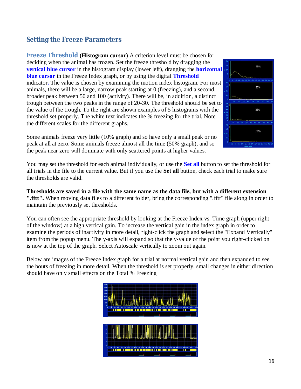# **Setting the Freeze Parameters**

**Freeze Threshold (Histogram cursor)** A criterion level must be chosen for deciding when the animal has frozen. Set the freeze threshold by dragging the **vertical blue cursor** in the histogram display (lower left), dragging the **horizontal blue cursor** in the Freeze Index graph, or by using the digital **Threshold** indicator**.** The value is chosen by examining the motion index histogram. For most animals, there will be a large, narrow peak starting at 0 (freezing), and a second, broader peak between 50 and 100 (activity). There will be, in addition, a distinct trough between the two peaks in the range of 20-30. The threshold should be set to the value of the trough. To the right are shown examples of 5 histograms with the threshold set properly. The white text indicates the % freezing for the trial. Note the different scales for the different graphs.



Some animals freeze very little (10% graph) and so have only a small peak or no peak at all at zero. Some animals freeze almost all the time (50% graph), and so the peak near zero will dominate with only scattered points at higher values.

You may set the threshold for each animal individually, or use the **Set all** button to set the threshold for all trials in the file to the current value. But if you use the **Set all** button, check each trial to make sure the thresholds are valid.

**Thresholds are saved in a file with the same name as the data file, but with a different extension ".fftt".** When moving data files to a different folder, bring the corresponding ".fftt" file along in order to maintain the previously set thresholds.

You can often see the appropriate threshold by looking at the Freeze Index vs. Time graph (upper right of the window) at a high vertical gain. To increase the vertical gain in the index graph in order to examine the periods of inactivity in more detail, right-click the graph and select the "Expand Vertically" item from the popup menu. The y-axis will expand so that the y-value of the point you right-clicked on is now at the top of the graph. Select Autoscale vertically to zoom out again.

Below are images of the Freeze Index graph for a trial at normal vertical gain and then expanded to see the bouts of freezing in more detail. When the threshold is set properly, small changes in either direction should have only small effects on the Total % Freezing

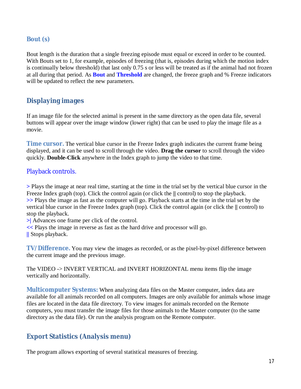### **Bout (s)**

Bout length is the duration that a single freezing episode must equal or exceed in order to be counted. With Bouts set to 1, for example, episodes of freezing (that is, episodes during which the motion index is continually below threshold) that last only 0.75 s or less will be treated as if the animal had not frozen at all during that period. As **Bout** and **Threshold** are changed, the freeze graph and % Freeze indicators will be updated to reflect the new parameters.

# **Displaying images**

If an image file for the selected animal is present in the same directory as the open data file, several buttons will appear over the image window (lower right) that can be used to play the image file as a movie.

**Time cursor.** The vertical blue cursor in the Freeze Index graph indicates the current frame being displayed, and it can be used to scroll through the video. **Drag the cursor** to scroll through the video quickly. **Double-Click** anywhere in the Index graph to jump the video to that time.

### Playback controls.

**>** Plays the image at near real time, starting at the time in the trial set by the vertical blue cursor in the Freeze Index graph (top). Click the control again (or click the **||** control) to stop the playback. **>>** Plays the image as fast as the computer will go. Playback starts at the time in the trial set by the vertical blue cursor in the Freeze Index graph (top). Click the control again (or click the **||** control) to stop the playback.

**>|** Advances one frame per click of the control.

**<<** Plays the image in reverse as fast as the hard drive and processor will go.

**||** Stops playback.

**TV/Difference.** You may view the images as recorded, or as the pixel-by-pixel difference between the current image and the previous image.

The VIDEO -> INVERT VERTICAL and INVERT HORIZONTAL menu items flip the image vertically and horizontally.

**Multicomputer Systems:** When analyzing data files on the Master computer, index data are available for all animals recorded on all computers. Images are only available for animals whose image files are located in the data file directory. To view images for animals recorded on the Remote computers, you must transfer the image files for those animals to the Master computer (to the same directory as the data file). Or run the analysis program on the Remote computer.

# **Export Statistics (Analysis menu)**

The program allows exporting of several statistical measures of freezing.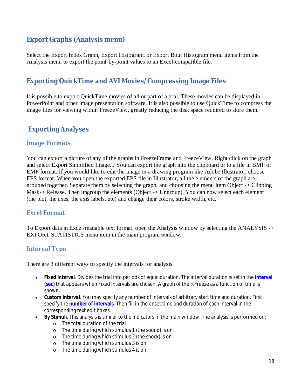# **Export Graphs (Analysis menu)**

Select the Export Index Graph, Export Histogram, or Export Bout Histogram menu items from the Analysis menu to export the point-by-point values to an Excel-compatible file.

# **Exporting QuickTime and AVI Movies/Compressing Image Files**

It is possible to export QuickTime movies of all or part of a trial. These movies can be displayed in PowerPoint and other image presentation software. It is also possible to use QuickTime to compress the image files for viewing within FreezeView, greatly reducing the disk space required to store them.

# **Exporting Analyses**

### **Image Formats**

You can export a picture of any of the graphs in FreezeFrame and FreezeView. Right click on the graph and select Export Simplified Image... You can export the graph into the clipboard or to a file in BMP or EMF format. If you would like to edit the image in a drawing program like Adobe Illustrator, choose EPS format. When you open the exported EPS file in Illustrator, all the elements of the graph are grouped together. Separate them by selecting the graph, and choosing the menu item Object -> Clipping Mask-> Release. Then ungroup the elements (Object -> Ungroup). You can now select each element (the plot, the axes, the axis labels, etc) and change their colors, stroke width, etc.

### **Excel Format**

To Export data in Excel-readable text format, open the Analysis window by selecting the ANALYSIS -> EXPORT STATISTICS menu item in the main program window.

### **Interval Type**

There are 3 different ways to specify the intervals for analysis.

- **Fixed Interval**. Divides the trial into periods of equal duration. The interval duration is set in the **Interval (sec)** that appears when Fixed Intervals are chosen. A graph of the %Freeze as a function of time is shown.
- **Custom Interval**. You may specify any number of intervals of arbitrary start time and duration. First specify the **number of intervals**. Then fill in the onset time and duration of each interval in the corresponding text edit boxes.
- **By Stimuli**. This analysis is similar to the indicators in the main window. The analysis is performed on:
	- o The total duration of the trial
	- o The time during which stimulus 1 (the sound) is on
	- o The time during which stimulus 2 (the shock) is on
	- o The time during which stimulus 3 is on
	- o The time during which stimulus 4 is on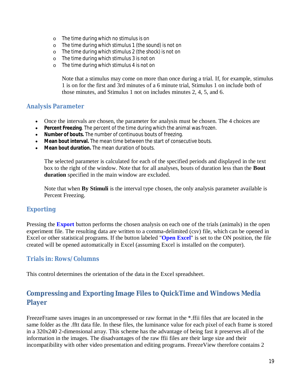- o The time during which no stimulus is on
- o The time during which stimulus 1 (the sound) is not on
- o The time during which stimulus 2 (the shock) is not on
- o The time during which stimulus 3 is not on
- o The time during which stimulus 4 is not on

Note that a stimulus may come on more than once during a trial. If, for example, stimulus 1 is on for the first and 3rd minutes of a 6 minute trial, Stimulus 1 on include both of those minutes, and Stimulus 1 not on includes minutes 2, 4, 5, and 6.

### **Analysis Parameter**

- Once the intervals are chosen, the parameter for analysis must be chosen. The 4 choices are
- **Percent Freezing**. The percent of the time during which the animal was frozen.
- **Number of bouts.** The number of continuous bouts of freezing.
- **Mean bout interval.** The mean time between the start of consecutive bouts.
- **Mean bout duration.** The mean duration of bouts.

The selected parameter is calculated for each of the specified periods and displayed in the text box to the right of the window. Note that for all analyses, bouts of duration less than the **Bout duration** specified in the main window are excluded.

Note that when **By Stimuli** is the interval type chosen, the only analysis parameter available is Percent Freezing.

### **Exporting**

Pressing the **Export** button performs the chosen analysis on each one of the trials (animals) in the open experiment file. The resulting data are written to a comma-delimited (csv) file, which can be opened in Excel or other statistical programs. If the button labeled "**Open Excel**" is set to the ON position, the file created will be opened automatically in Excel (assuming Excel is installed on the computer).

#### **Trials in: Rows/Columns**

This control determines the orientation of the data in the Excel spreadsheet.

# **Compressing and Exporting Image Files to QuickTime and Windows Media Player**

FreezeFrame saves images in an uncompressed or raw format in the \*.ffii files that are located in the same folder as the .fftt data file. In these files, the luminance value for each pixel of each frame is stored in a 320x240 2-dimensional array. This scheme has the advantage of being fast it preserves all of the information in the images. The disadvantages of the raw ffii files are their large size and their incompatibility with other video presentation and editing programs. FreezeView therefore contains 2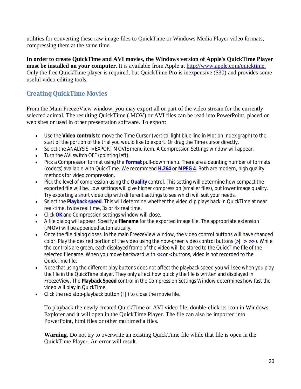utilities for converting these raw image files to QuickTime or Windows Media Player video formats, compressing them at the same time.

**In order to create QuickTime and AVI movies, the Windows version of Apple's QuickTime Player must be installed on your computer.** It is available from Apple at http://www.apple.com/quicktime. Only the free QuickTime player is required, but QuickTime Pro is inexpensive (\$30) and provides some useful video editing tools.

### **Creating QuickTime Movies**

From the Main FreezeView window, you may export all or part of the video stream for the currently selected animal. The resulting QuickTime (.MOV) or AVI files can be read into PowerPoint, placed on web sites or used in other presentation software. To export:

- Use the **Video controls** to move the Time Cursor (vertical light blue line in Motion Index graph) to the start of the portion of the trial you would like to export. Or drag the Time cursor directly.
- Select the ANALYSIS -> EXPORT MOVIE menu item. A Compression Settings window will appear.
- Turn the AVI switch OFF (pointing left).
- Pick a Compression format using the **Format** pull-down menu. There are a daunting number of formats (codecs) available with QuickTime. We recommend **H.264** or **MPEG 4**. Both are modern, high quality methods for video compression.
- Pick the level of compression using the **Quality** control. This setting will determine how compact the exported file will be. Low settings will give higher compression (smaller files), but lower image quality. Try exporting a short video clip with different settings to see which will suit your needs.
- Select the **Playback speed**. This will determine whether the video clip plays back in QuickTime at near real-time, twice real time, 3x or 4x real time.
- Click **OK** and Compression settings window will close.
- A file dialog will appear. Specify a **filename** for the exported image file. The appropriate extension (.MOV) will be appended automatically.
- Once the file dialog closes, in the main FreezeView window, the video control buttons will have changed color. Play the desired portion of the video using the now-green video control buttons (**>| > >>** ). While the controls are green, each displayed frame of the video will be stored to the QuickTime file of the selected filename. When you move backward with **<<** or **<** buttons, video is not recorded to the QuickTime file.
- Note that using the different play buttons does not affect the playback speed you will see when you play the file in the QuickTime player. They only affect how quickly the file is written and displayed in FreezeView. The **Playback Speed** control in the Compression Settings Window determines how fast the video will play in QuickTime.
- Click the red stop-playback button (**||**) to close the movie file.

To playback the newly created QuickTime or AVI video file, double-click its icon in Windows Explorer and it will open in the QuickTime Player. The file can also be imported into PowerPoint, html files or other multimedia files.

**Warning**. Do not try to overwrite an existing QuickTime file while that file is open in the QuickTime Player. An error will result.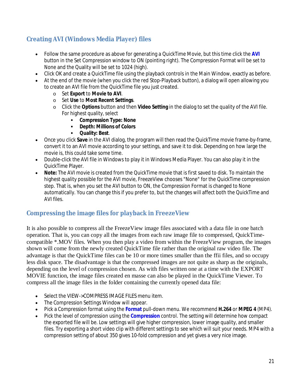# **Creating AVI (Windows Media Player) files**

- Follow the same procedure as above for generating a QuickTime Movie, but this time click the **AVI** button in the Set Compression window to ON (pointing right). The Compression Format will be set to None and the Quality will be set to 1024 (high).
- Click OK and create a QuickTime file using the playback controls in the Main Window, exactly as before.
- At the end of the movie (when you click the red Stop-Playback button), a dialog will open allowing you to create an AVI file from the QuickTime file you just created.
	- o Set **Export** to **Movie to AVI**.
	- o Set **Use** to **Most Recent Settings**.
	- o Click the **Options** button and then **Video Setting** in the dialog to set the quality of the AVI file. For highest quality, select
		- **Compression Type: None**
		- **Depth: Millions of Colors**
		- **Quality: Best**.
- Once you click **Save** in the AVI dialog, the program will then read the QuickTime movie frame-by-frame, convert it to an AVI movie according to your settings, and save it to disk. Depending on how large the movie is, this could take some time.
- Double-click the AVI file in Windows to play it in Windows Media Player. You can also play it in the QuickTime Player.
- **Note:** The AVI movie is created from the QuickTime movie that is first saved to disk. To maintain the highest quality possible for the AVI movie, FreezeView chooses "None" for the QuickTime compression step. That is, when you set the AVI button to ON, the Compression Format is changed to None automatically. You can change this if you prefer to, but the changes will affect both the QuickTime and AVI files.

### **Compressing the image files for playback in FreezeView**

It is also possible to compress all the FreezeView image files associated with a data file in one batch operation. That is, you can copy all the images from each raw image file to compressed, QuickTimecompatible \*.MOV files. When you then play a video from within the FreezeView program, the images shown will come from the newly created QuickTime file rather than the original raw video file. The advantage is that the QuickTime files can be 10 or more times smaller than the ffii files, and so occupy less disk space. The disadvantage is that the compressed images are not quite as sharp as the originals, depending on the level of compression chosen. As with files written one at a time with the EXPORT MOVIE function, the image files created en masse can also be played in the QuickTime Viewer. To compress all the image files in the folder containing the currently opened data file:

- Select the VIEW->COMPRESS IMAGE FILES menu item.
- The Compression Settings Window will appear.
- Pick a Compression format using the **Format** pull-down menu. We recommend **H.264** or **MPEG 4** (MP4).
- Pick the level of compression using the **Compression** control. The setting will determine how compact the exported file will be. Low settings will give higher compression, lower image quality, and smaller files. Try exporting a short video clip with different settings to see which will suit your needs. MP4 with a compression setting of about 350 gives 10-fold compression and yet gives a very nice image.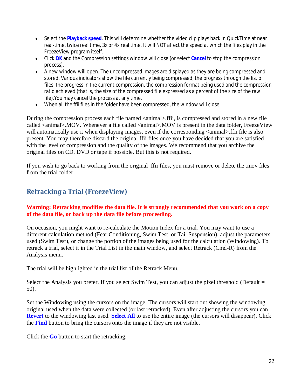- Select the **Playback speed**. This will determine whether the video clip plays back in QuickTime at near real-time, twice real time, 3x or 4x real time. It will NOT affect the speed at which the files play in the FreezeView program itself.
- Click **OK** and the Compression settings window will close (or select **Cancel** to stop the compression process).
- A new window will open. The uncompressed images are displayed as they are being compressed and stored. Various indicators show the file currently being compressed, the progress through the list of files, the progress in the current compression, the compression format being used and the compression ratio achieved (that is, the size of the compressed file expressed as a percent of the size of the raw file).You may cancel the process at any time.
- When all the ffii files in the folder have been compressed, the window will close.

During the compression process each file named <animal>.ffii, is compressed and stored in a new file called <animal>.MOV. Whenever a file called <animal>.MOV is present in the data folder, FreezeView will automatically use it when displaying images, even if the corresponding  $\langle$  animal $\rangle$ . ffii file is also present. You may therefore discard the original ffii files once you have decided that you are satisfied with the level of compression and the quality of the images. We recommend that you archive the original files on CD, DVD or tape if possible. But this is not required.

If you wish to go back to working from the original .ffii files, you must remove or delete the .mov files from the trial folder.

# **Retracking a Trial (FreezeView)**

### **Warning: Retracking modifies the data file. It is strongly recommended that you work on a copy of the data file, or back up the data file before proceeding.**

On occasion, you might want to re-calculate the Motion Index for a trial. You may want to use a different calculation method (Fear Conditioning, Swim Test, or Tail Suspension), adjust the parameters used (Swim Test), or change the portion of the images being used for the calculation (Windowing). To retrack a trial, select it in the Trial List in the main window, and select Retrack (Cmd-R) from the Analysis menu.

The trial will be highlighted in the trial list of the Retrack Menu.

Select the Analysis you prefer. If you select Swim Test, you can adjust the pixel threshold (Default = 50).

Set the Windowing using the cursors on the image. The cursors will start out showing the windowing original used when the data were collected (or last retracked). Even after adjusting the cursors you can **Revert** to the windowing last used. **Select All** to use the entire image (the cursors will disappear). Click the **Find** button to bring the cursors onto the image if they are not visible.

Click the **Go** button to start the retracking.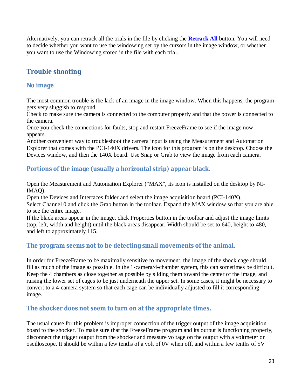Alternatively, you can retrack all the trials in the file by clicking the **Retrack All** button. You will need to decide whether you want to use the windowing set by the cursors in the image window, or whether you want to use the Windowing stored in the file with each trial.

# **Trouble shooting**

### **No image**

The most common trouble is the lack of an image in the image window. When this happens, the program gets very sluggish to respond.

Check to make sure the camera is connected to the computer properly and that the power is connected to the camera.

Once you check the connections for faults, stop and restart FreezeFrame to see if the image now appears.

Another convenient way to troubleshoot the camera input is using the Measurement and Automation Explorer that comes with the PCI-140X drivers. The icon for this program is on the desktop. Choose the Devices window, and then the 140X board. Use Snap or Grab to view the image from each camera.

### **Portions of the image (usually a horizontal strip) appear black.**

Open the Measurement and Automation Explorer ("MAX", its icon is installed on the desktop by NI-IMAQ).

Open the Devices and Interfaces folder and select the image acquisition board (PCI-140X). Select Channel 0 and click the Grab button in the toolbar. Expand the MAX window so that you are able to see the entire image.

If the black areas appear in the image, click Properties button in the toolbar and adjust the image limits (top, left, width and height) until the black areas disappear. Width should be set to 640, height to 480, and left to approximately 115.

# **The program seems not to be detecting small movements of the animal.**

In order for FreezeFrame to be maximally sensitive to movement, the image of the shock cage should fill as much of the image as possible. In the 1-camera/4-chamber system, this can sometimes be difficult. Keep the 4 chambers as close together as possible by sliding them toward the center of the image, and raising the lower set of cages to be just underneath the upper set. In some cases, it might be necessary to convert to a 4-camera system so that each cage can be individually adjusted to fill it corresponding image.

### **The shocker does not seem to turn on at the appropriate times.**

The usual cause for this problem is improper connection of the trigger output of the image acquisition board to the shocker. To make sure that the FreezeFrame program and its output is functioning properly, disconnect the trigger output from the shocker and measure voltage on the output with a voltmeter or oscilloscope. It should be within a few tenths of a volt of 0V when off, and within a few tenths of 5V